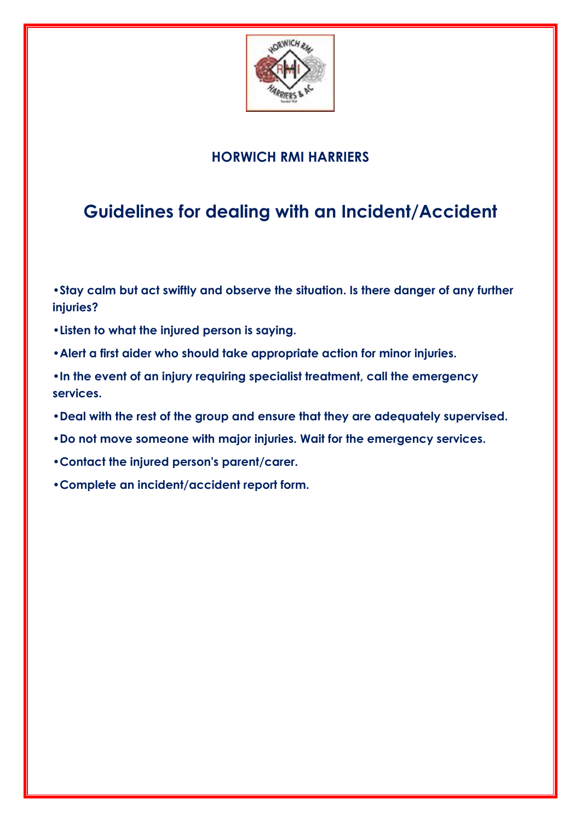

#### **HORWICH RMI HARRIERS**

# **Guidelines for dealing with an Incident/Accident**

**•Stay calm but act swiftly and observe the situation. Is there danger of any further injuries?**

- **•Listen to what the injured person is saying.**
- **•Alert a first aider who should take appropriate action for minor injuries.**

**•In the event of an injury requiring specialist treatment, call the emergency services.**

- **•Deal with the rest of the group and ensure that they are adequately supervised.**
- **•Do not move someone with major injuries. Wait for the emergency services.**
- **•Contact the injured person's parent/carer.**
- **•Complete an incident/accident report form.**